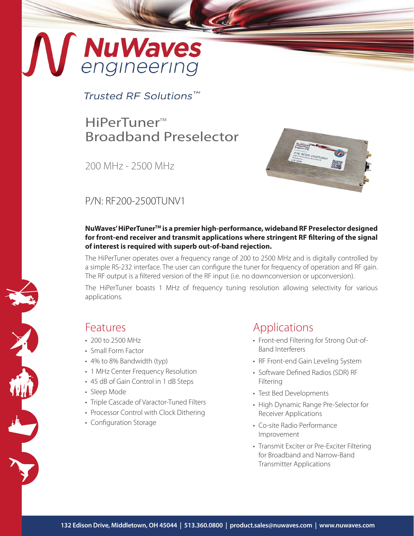# MuWaves

Trusted RF Solutions™

## HiPerTuner™ Broadband Preselector

200 MHz - 2500 MHz



## P/N: RF200-2500TUNV1

### **NuWaves' HiPerTunerTM is a premier high-performance, wideband RF Preselector designed for front-end receiver and transmit applications where stringent RF filtering of the signal of interest is required with superb out-of-band rejection.**

The HiPerTuner operates over a frequency range of 200 to 2500 MHz and is digitally controlled by a simple RS-232 interface. The user can configure the tuner for frequency of operation and RF gain. The RF output is a filtered version of the RF input (i.e. no downconversion or upconversion).

The HiPerTuner boasts 1 MHz of frequency tuning resolution allowing selectivity for various applications.

## Features

- 200 to 2500 MHz
- Small Form Factor
- 4% to 8% Bandwidth (typ)
- 1 MHz Center Frequency Resolution
- 45 dB of Gain Control in 1 dB Steps
- Sleep Mode
- Triple Cascade of Varactor-Tuned Filters
- Processor Control with Clock Dithering
- Configuration Storage

## Applications

- Front-end Filtering for Strong Out-of-Band Interferers
- RF Front-end Gain Leveling System
- Software Defined Radios (SDR) RF Filtering
- Test Bed Developments
- High Dynamic Range Pre-Selector for Receiver Applications
- Co-site Radio Performance Improvement
- Transmit Exciter or Pre-Exciter Filtering for Broadband and Narrow-Band Transmitter Applications